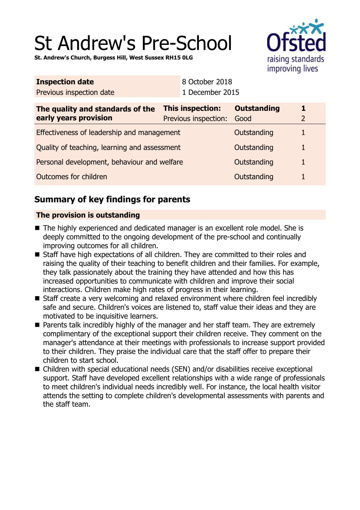# St Andrew's Pre-School

**St. Andrew's Church, Burgess Hill, West Sussex RH15 0LG**



| <b>Inspection date</b>                                    |  | 8 October 2018                           |                            |                     |
|-----------------------------------------------------------|--|------------------------------------------|----------------------------|---------------------|
| Previous inspection date                                  |  | 1 December 2015                          |                            |                     |
| The quality and standards of the<br>early years provision |  | This inspection:<br>Previous inspection: | <b>Outstanding</b><br>Good | 1<br>$\overline{2}$ |
| Effectiveness of leadership and management                |  |                                          | Outstanding                | $\mathbf{1}$        |
| Quality of teaching, learning and assessment              |  |                                          | Outstanding                | $\mathbf{1}$        |
| Personal development, behaviour and welfare               |  |                                          | Outstanding                | $\mathbf{1}$        |
| <b>Outcomes for children</b>                              |  |                                          | Outstanding                | $\mathbf{1}$        |

## **Summary of key findings for parents**

## **The provision is outstanding**

- The highly experienced and dedicated manager is an excellent role model. She is deeply committed to the ongoing development of the pre-school and continually improving outcomes for all children.
- Staff have high expectations of all children. They are committed to their roles and raising the quality of their teaching to benefit children and their families. For example, they talk passionately about the training they have attended and how this has increased opportunities to communicate with children and improve their social interactions. Children make high rates of progress in their learning.
- Staff create a very welcoming and relaxed environment where children feel incredibly safe and secure. Children's voices are listened to, staff value their ideas and they are motivated to be inquisitive learners.
- Parents talk incredibly highly of the manager and her staff team. They are extremely complimentary of the exceptional support their children receive. They comment on the manager's attendance at their meetings with professionals to increase support provided to their children. They praise the individual care that the staff offer to prepare their children to start school.
- Children with special educational needs (SEN) and/or disabilities receive exceptional support. Staff have developed excellent relationships with a wide range of professionals to meet children's individual needs incredibly well. For instance, the local health visitor attends the setting to complete children's developmental assessments with parents and the staff team.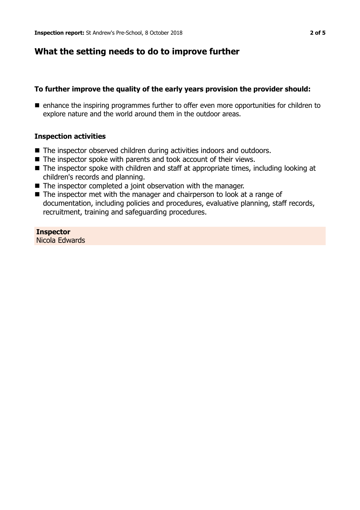## **What the setting needs to do to improve further**

#### **To further improve the quality of the early years provision the provider should:**

■ enhance the inspiring programmes further to offer even more opportunities for children to explore nature and the world around them in the outdoor areas.

#### **Inspection activities**

- $\blacksquare$  The inspector observed children during activities indoors and outdoors.
- $\blacksquare$  The inspector spoke with parents and took account of their views.
- The inspector spoke with children and staff at appropriate times, including looking at children's records and planning.
- $\blacksquare$  The inspector completed a joint observation with the manager.
- $\blacksquare$  The inspector met with the manager and chairperson to look at a range of documentation, including policies and procedures, evaluative planning, staff records, recruitment, training and safeguarding procedures.

**Inspector** Nicola Edwards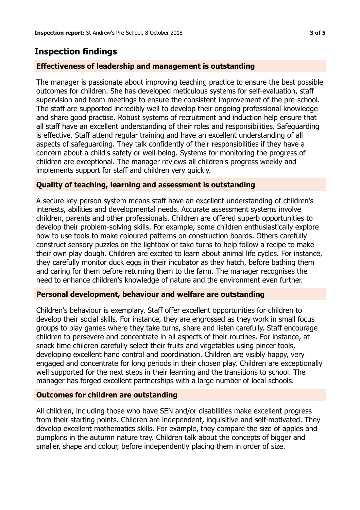## **Inspection findings**

## **Effectiveness of leadership and management is outstanding**

The manager is passionate about improving teaching practice to ensure the best possible outcomes for children. She has developed meticulous systems for self-evaluation, staff supervision and team meetings to ensure the consistent improvement of the pre-school. The staff are supported incredibly well to develop their ongoing professional knowledge and share good practise. Robust systems of recruitment and induction help ensure that all staff have an excellent understanding of their roles and responsibilities. Safeguarding is effective. Staff attend regular training and have an excellent understanding of all aspects of safeguarding. They talk confidently of their responsibilities if they have a concern about a child's safety or well-being. Systems for monitoring the progress of children are exceptional. The manager reviews all children's progress weekly and implements support for staff and children very quickly.

## **Quality of teaching, learning and assessment is outstanding**

A secure key-person system means staff have an excellent understanding of children's interests, abilities and developmental needs. Accurate assessment systems involve children, parents and other professionals. Children are offered superb opportunities to develop their problem-solving skills. For example, some children enthusiastically explore how to use tools to make coloured patterns on construction boards. Others carefully construct sensory puzzles on the lightbox or take turns to help follow a recipe to make their own play dough. Children are excited to learn about animal life cycles. For instance, they carefully monitor duck eggs in their incubator as they hatch, before bathing them and caring for them before returning them to the farm. The manager recognises the need to enhance children's knowledge of nature and the environment even further.

## **Personal development, behaviour and welfare are outstanding**

Children's behaviour is exemplary. Staff offer excellent opportunities for children to develop their social skills. For instance, they are engrossed as they work in small focus groups to play games where they take turns, share and listen carefully. Staff encourage children to persevere and concentrate in all aspects of their routines. For instance, at snack time children carefully select their fruits and vegetables using pincer tools, developing excellent hand control and coordination. Children are visibly happy, very engaged and concentrate for long periods in their chosen play. Children are exceptionally well supported for the next steps in their learning and the transitions to school. The manager has forged excellent partnerships with a large number of local schools.

## **Outcomes for children are outstanding**

All children, including those who have SEN and/or disabilities make excellent progress from their starting points. Children are independent, inquisitive and self-motivated. They develop excellent mathematics skills. For example, they compare the size of apples and pumpkins in the autumn nature tray. Children talk about the concepts of bigger and smaller, shape and colour, before independently placing them in order of size.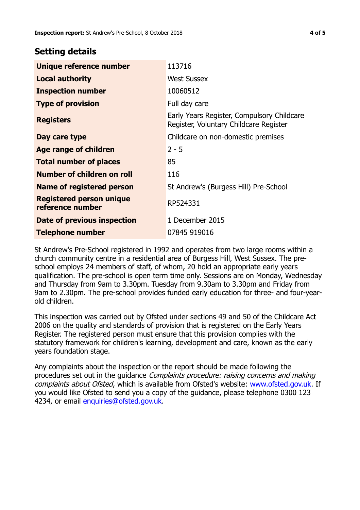## **Setting details**

| Unique reference number                             | 113716                                                                               |  |  |
|-----------------------------------------------------|--------------------------------------------------------------------------------------|--|--|
| <b>Local authority</b>                              | <b>West Sussex</b>                                                                   |  |  |
| <b>Inspection number</b>                            | 10060512                                                                             |  |  |
| <b>Type of provision</b>                            | Full day care                                                                        |  |  |
| <b>Registers</b>                                    | Early Years Register, Compulsory Childcare<br>Register, Voluntary Childcare Register |  |  |
| Day care type                                       | Childcare on non-domestic premises                                                   |  |  |
| Age range of children                               | $2 - 5$                                                                              |  |  |
| <b>Total number of places</b>                       | 85                                                                                   |  |  |
| Number of children on roll                          | 116                                                                                  |  |  |
| Name of registered person                           | St Andrew's (Burgess Hill) Pre-School                                                |  |  |
| <b>Registered person unique</b><br>reference number | RP524331                                                                             |  |  |
| <b>Date of previous inspection</b>                  | 1 December 2015                                                                      |  |  |
| <b>Telephone number</b>                             | 07845 919016                                                                         |  |  |

St Andrew's Pre-School registered in 1992 and operates from two large rooms within a church community centre in a residential area of Burgess Hill, West Sussex. The preschool employs 24 members of staff, of whom, 20 hold an appropriate early years qualification. The pre-school is open term time only. Sessions are on Monday, Wednesday and Thursday from 9am to 3.30pm. Tuesday from 9.30am to 3.30pm and Friday from 9am to 2.30pm. The pre-school provides funded early education for three- and four-yearold children.

This inspection was carried out by Ofsted under sections 49 and 50 of the Childcare Act 2006 on the quality and standards of provision that is registered on the Early Years Register. The registered person must ensure that this provision complies with the statutory framework for children's learning, development and care, known as the early years foundation stage.

Any complaints about the inspection or the report should be made following the procedures set out in the guidance Complaints procedure: raising concerns and making complaints about Ofsted, which is available from Ofsted's website: www.ofsted.gov.uk. If you would like Ofsted to send you a copy of the guidance, please telephone 0300 123 4234, or email [enquiries@ofsted.gov.uk.](mailto:enquiries@ofsted.gov.uk)